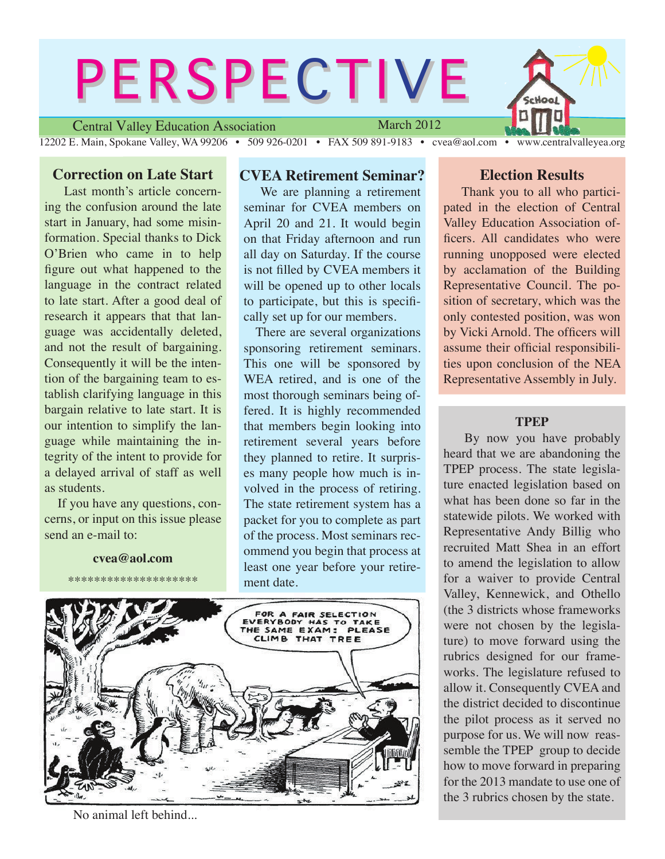# Central Valley Education Association **PERSPECTIVE** March 2012

12202 E. Main, Spokane Valley, WA 99206 • 509 926-0201 • FAX 509 891-9183 • cvea@aol.com • www.centralvalleyea.org

# **Correction on Late Start**

 Last month's article concerning the confusion around the late start in January, had some misinformation. Special thanks to Dick O'Brien who came in to help figure out what happened to the language in the contract related to late start. After a good deal of research it appears that that language was accidentally deleted, and not the result of bargaining. Consequently it will be the intention of the bargaining team to establish clarifying language in this bargain relative to late start. It is our intention to simplify the language while maintaining the integrity of the intent to provide for a delayed arrival of staff as well as students.

 If you have any questions, concerns, or input on this issue please send an e-mail to:

**cvea@aol.com**

\*\*\*\*\*\*\*\*\*\*\*\*\*\*\*\*\*\*\*\*

# **CVEA Retirement Seminar?**

 We are planning a retirement seminar for CVEA members on April 20 and 21. It would begin on that Friday afternoon and run all day on Saturday. If the course is not filled by CVEA members it will be opened up to other locals to participate, but this is specifically set up for our members.

 There are several organizations sponsoring retirement seminars. This one will be sponsored by WEA retired, and is one of the most thorough seminars being offered. It is highly recommended that members begin looking into retirement several years before they planned to retire. It surprises many people how much is involved in the process of retiring. The state retirement system has a packet for you to complete as part of the process. Most seminars recommend you begin that process at least one year before your retirement date.



No animal left behind...

# **Election Results**

 Thank you to all who participated in the election of Central Valley Education Association officers. All candidates who were running unopposed were elected by acclamation of the Building Representative Council. The position of secretary, which was the only contested position, was won by Vicki Arnold. The officers will assume their official responsibilities upon conclusion of the NEA Representative Assembly in July.

#### **TPEP**

 By now you have probably heard that we are abandoning the TPEP process. The state legislature enacted legislation based on what has been done so far in the statewide pilots. We worked with Representative Andy Billig who recruited Matt Shea in an effort to amend the legislation to allow for a waiver to provide Central Valley, Kennewick, and Othello (the 3 districts whose frameworks were not chosen by the legislature) to move forward using the rubrics designed for our frameworks. The legislature refused to allow it. Consequently CVEA and the district decided to discontinue the pilot process as it served no purpose for us. We will now reassemble the TPEP group to decide how to move forward in preparing for the 2013 mandate to use one of the 3 rubrics chosen by the state.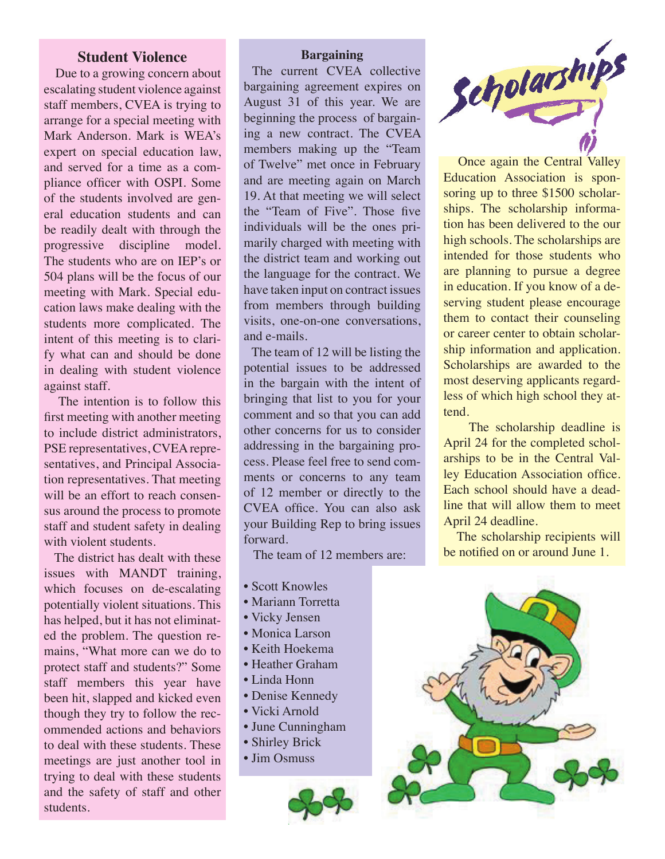## **Student Violence**

 Due to a growing concern about escalating student violence against staff members, CVEA is trying to arrange for a special meeting with Mark Anderson. Mark is WEA's expert on special education law, and served for a time as a compliance officer with OSPI. Some of the students involved are general education students and can be readily dealt with through the progressive discipline model. The students who are on IEP's or 504 plans will be the focus of our meeting with Mark. Special education laws make dealing with the students more complicated. The intent of this meeting is to clarify what can and should be done in dealing with student violence against staff.

 The intention is to follow this first meeting with another meeting to include district administrators, PSE representatives, CVEA representatives, and Principal Association representatives. That meeting will be an effort to reach consensus around the process to promote staff and student safety in dealing with violent students.

 The district has dealt with these issues with MANDT training, which focuses on de-escalating potentially violent situations. This has helped, but it has not eliminated the problem. The question remains, "What more can we do to protect staff and students?" Some staff members this year have been hit, slapped and kicked even though they try to follow the recommended actions and behaviors to deal with these students. These meetings are just another tool in trying to deal with these students and the safety of staff and other students.

#### **Bargaining**

 The current CVEA collective bargaining agreement expires on August 31 of this year. We are beginning the process of bargaining a new contract. The CVEA members making up the "Team of Twelve" met once in February and are meeting again on March 19. At that meeting we will select the "Team of Five". Those five individuals will be the ones primarily charged with meeting with the district team and working out the language for the contract. We have taken input on contract issues from members through building visits, one-on-one conversations, and e-mails.

 The team of 12 will be listing the potential issues to be addressed in the bargain with the intent of bringing that list to you for your comment and so that you can add other concerns for us to consider addressing in the bargaining process. Please feel free to send comments or concerns to any team of 12 member or directly to the CVEA office. You can also ask your Building Rep to bring issues forward.

The team of 12 members are:

- Scott Knowles
- Mariann Torretta
- Vicky Jensen
- Monica Larson
- Keith Hoekema
- Heather Graham
- Linda Honn
- Denise Kennedy
- Vicki Arnold
- June Cunningham
- Shirley Brick
- Jim Osmuss





Once again the Central Valley Education Association is sponsoring up to three \$1500 scholarships. The scholarship information has been delivered to the our high schools. The scholarships are intended for those students who are planning to pursue a degree in education. If you know of a deserving student please encourage them to contact their counseling or career center to obtain scholarship information and application. Scholarships are awarded to the most deserving applicants regardless of which high school they attend.

 The scholarship deadline is April 24 for the completed scholarships to be in the Central Valley Education Association office. Each school should have a deadline that will allow them to meet April 24 deadline.

 The scholarship recipients will be notified on or around June 1.